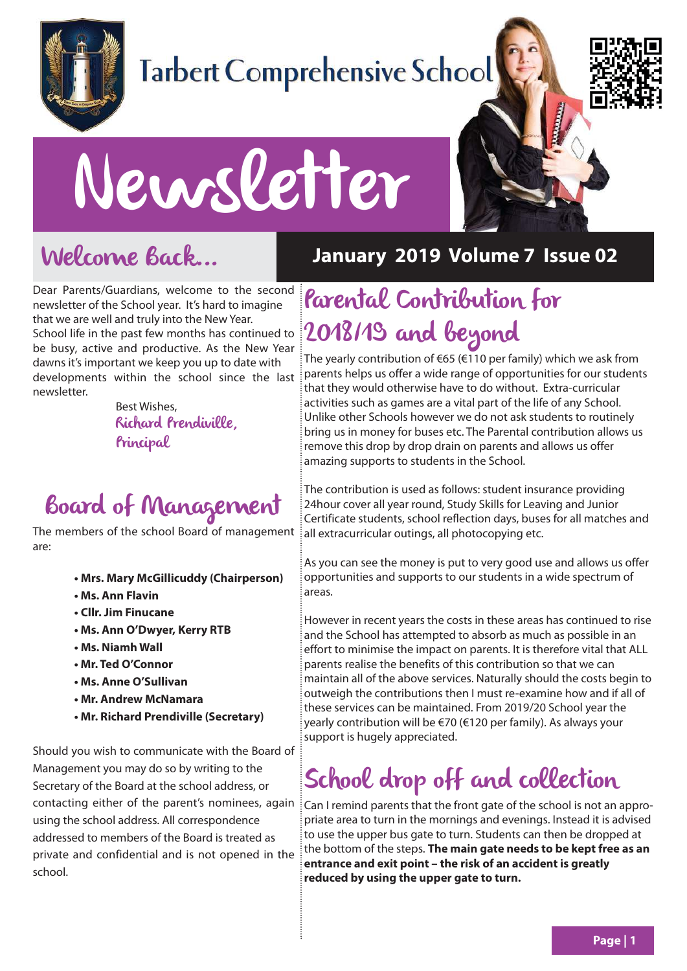

## **Tarbert Comprehensive School**



# Newsletter

## Welcome Back...

Dear Parents/Guardians, welcome to the second newsletter of the School year. It's hard to imagine that we are well and truly into the New Year. School life in the past few months has continued to be busy, active and productive. As the New Year dawns it's important we keep you up to date with developments within the school since the last newsletter.

Best Wishes, Richard Prendiville, Principal

## Board of Management

The members of the school Board of management are:

- **Mrs. Mary McGillicuddy (Chairperson)**
- **Ms. Ann Flavin**
- **Cllr. Jim Finucane**
- **Ms. Ann O'Dwyer, Kerry RTB**
- **Ms. Niamh Wall**
- **Mr. Ted O'Connor**
- **Ms. Anne O'Sullivan**
- **Mr. Andrew McNamara**
- **Mr. Richard Prendiville (Secretary)**

Should you wish to communicate with the Board of Management you may do so by writing to the Secretary of the Board at the school address, or contacting either of the parent's nominees, again using the school address. All correspondence addressed to members of the Board is treated as private and confidential and is not opened in the school.

#### **January 2019 Volume 7 Issue 02**

## Parental Contribution for 2018/19 and beyond

The yearly contribution of €65 (€110 per family) which we ask from parents helps us offer a wide range of opportunities for our students that they would otherwise have to do without. Extra-curricular activities such as games are a vital part of the life of any School. Unlike other Schools however we do not ask students to routinely bring us in money for buses etc. The Parental contribution allows us remove this drop by drop drain on parents and allows us offer amazing supports to students in the School.

The contribution is used as follows: student insurance providing 24hour cover all year round, Study Skills for Leaving and Junior Certificate students, school reflection days, buses for all matches and all extracurricular outings, all photocopying etc.

As you can see the money is put to very good use and allows us offer opportunities and supports to our students in a wide spectrum of areas.

However in recent years the costs in these areas has continued to rise and the School has attempted to absorb as much as possible in an effort to minimise the impact on parents. It is therefore vital that ALL parents realise the benefits of this contribution so that we can maintain all of the above services. Naturally should the costs begin to outweigh the contributions then I must re-examine how and if all of these services can be maintained. From 2019/20 School year the yearly contribution will be €70 (€120 per family). As always your support is hugely appreciated.

## School drop off and collection

Can I remind parents that the front gate of the school is not an appropriate area to turn in the mornings and evenings. Instead it is advised to use the upper bus gate to turn. Students can then be dropped at the bottom of the steps. **The main gate needs to be kept free as an entrance and exit point – the risk of an accident is greatly reduced by using the upper gate to turn.**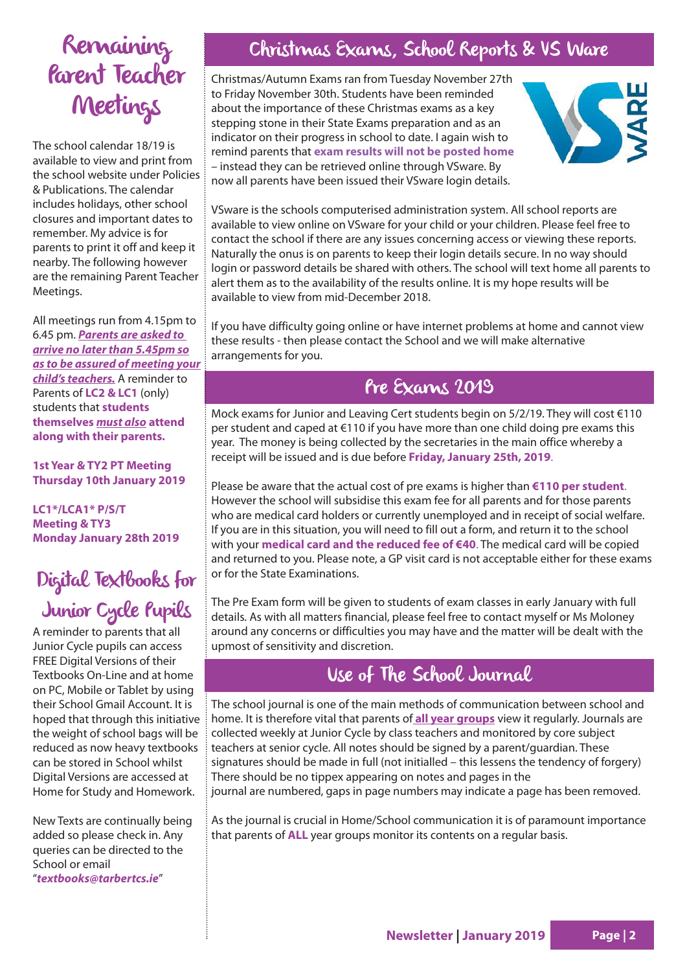## Remaining Parent Teacher **Meetings**

The school calendar 18/19 is available to view and print from the school website under Policies & Publications. The calendar includes holidays, other school closures and important dates to remember. My advice is for parents to print it off and keep it nearby. The following however are the remaining Parent Teacher Meetings.

All meetings run from 4.15pm to 6.45 pm. **Parents are asked to arrive no later than 5.45pm so as to be assured of meeting your child's teachers.** A reminder to Parents of **LC2 & LC1** (only) students that **students themselves must also attend along with their parents.**

**1st Year & TY2 PT Meeting Thursday 10th January 2019**

**LC1\*/LCA1\* P/S/T Meeting & TY3 Monday January 28th 2019**

### Digital Textbooks for Junior Cycle Pupils

A reminder to parents that all Junior Cycle pupils can access FREE Digital Versions of their Textbooks On-Line and at home on PC, Mobile or Tablet by using their School Gmail Account. It is hoped that through this initiative the weight of school bags will be reduced as now heavy textbooks can be stored in School whilst Digital Versions are accessed at Home for Study and Homework.

New Texts are continually being added so please check in. Any queries can be directed to the School or email "**textbooks@tarbertcs.ie**"

#### Christmas Exams, School Reports & VS Ware

Christmas/Autumn Exams ran from Tuesday November 27th to Friday November 30th. Students have been reminded about the importance of these Christmas exams as a key stepping stone in their State Exams preparation and as an indicator on their progress in school to date. I again wish to remind parents that **exam results will not be posted home** – instead they can be retrieved online through VSware. By now all parents have been issued their VSware login details.



VSware is the schools computerised administration system. All school reports are available to view online on VSware for your child or your children. Please feel free to contact the school if there are any issues concerning access or viewing these reports. Naturally the onus is on parents to keep their login details secure. In no way should login or password details be shared with others. The school will text home all parents to alert them as to the availability of the results online. It is my hope results will be available to view from mid-December 2018.

If you have difficulty going online or have internet problems at home and cannot view these results - then please contact the School and we will make alternative arrangements for you.

#### Pre Exams 2019

Mock exams for Junior and Leaving Cert students begin on 5/2/19. They will cost €110 per student and caped at €110 if you have more than one child doing pre exams this year. The money is being collected by the secretaries in the main office whereby a receipt will be issued and is due before **Friday, January 25th, 2019**.

Please be aware that the actual cost of pre exams is higher than **€110 per student**. However the school will subsidise this exam fee for all parents and for those parents who are medical card holders or currently unemployed and in receipt of social welfare. If you are in this situation, you will need to fill out a form, and return it to the school with your **medical card and the reduced fee of €40**. The medical card will be copied and returned to you. Please note, a GP visit card is not acceptable either for these exams or for the State Examinations.

The Pre Exam form will be given to students of exam classes in early January with full details. As with all matters financial, please feel free to contact myself or Ms Moloney around any concerns or difficulties you may have and the matter will be dealt with the upmost of sensitivity and discretion.

#### Use of The School Journal

The school journal is one of the main methods of communication between school and home. It is therefore vital that parents of **all year groups** view it regularly. Journals are collected weekly at Junior Cycle by class teachers and monitored by core subject teachers at senior cycle. All notes should be signed by a parent/guardian. These signatures should be made in full (not initialled – this lessens the tendency of forgery) There should be no tippex appearing on notes and pages in the journal are numbered, gaps in page numbers may indicate a page has been removed.

As the journal is crucial in Home/School communication it is of paramount importance that parents of **ALL** year groups monitor its contents on a regular basis.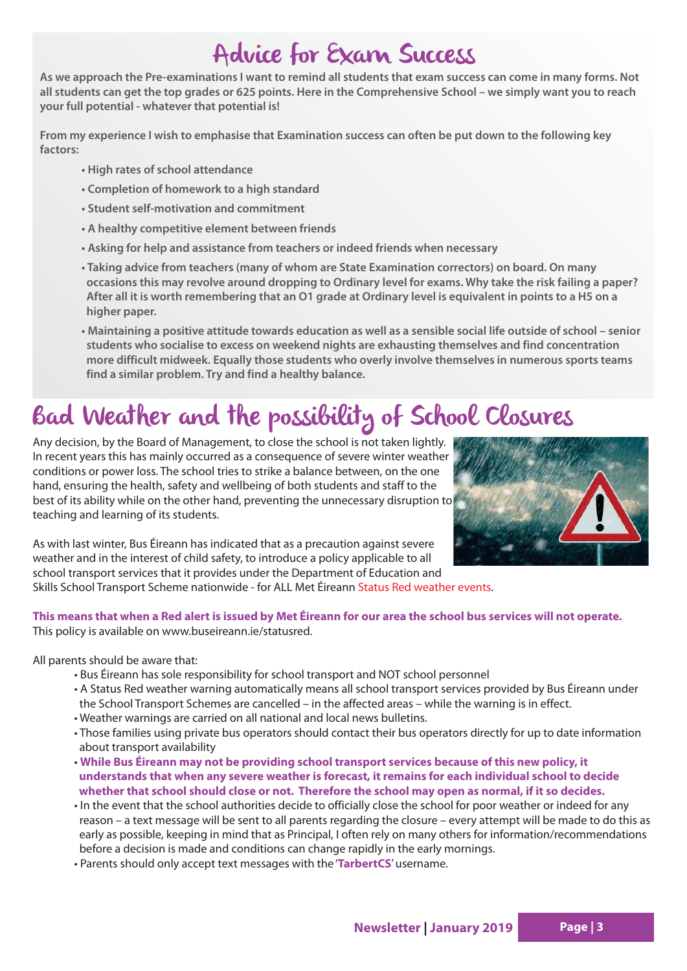## Advice for Exam Success

**As we approach the Pre-examinations I want to remind all students that exam success can come in many forms. Not all students can get the top grades or 625 points. Here in the Comprehensive School – we simply want you to reach your full potential - whatever that potential is!**

**From my experience I wish to emphasise that Examination success can often be put down to the following key factors:**

- **High rates of school attendance**
- **Completion of homework to a high standard**
- **Student self-motivation and commitment**
- **A healthy competitive element between friends**
- **Asking for help and assistance from teachers or indeed friends when necessary**
- **Taking advice from teachers (many of whom are State Examination correctors) on board. On many occasions this may revolve around dropping to Ordinary level for exams. Why take the risk failing a paper? After all it is worth remembering that an O1 grade at Ordinary level is equivalent in points to a H5 on a higher paper.**
- **Maintaining a positive attitude towards education as well as a sensible social life outside of school senior students who socialise to excess on weekend nights are exhausting themselves and find concentration more difficult midweek. Equally those students who overly involve themselves in numerous sports teams find a similar problem. Try and find a healthy balance.**

## Bad Weather and the possibility of School Closures

Any decision, by the Board of Management, to close the school is not taken lightly. In recent years this has mainly occurred as a consequence of severe winter weather conditions or power loss. The school tries to strike a balance between, on the one hand, ensuring the health, safety and wellbeing of both students and staff to the best of its ability while on the other hand, preventing the unnecessary disruption to teaching and learning of its students.



As with last winter, Bus Éireann has indicated that as a precaution against severe weather and in the interest of child safety, to introduce a policy applicable to all school transport services that it provides under the Department of Education and

Skills School Transport Scheme nationwide - for ALL Met Éireann Status Red weather events.

#### **This means that when a Red alert is issued by Met Éireann for our area the school bus services will not operate.**  This policy is available on www.buseireann.ie/statusred.

All parents should be aware that:

- Bus Éireann has sole responsibility for school transport and NOT school personnel
- A Status Red weather warning automatically means all school transport services provided by Bus Éireann under the School Transport Schemes are cancelled – in the affected areas – while the warning is in effect.
- Weather warnings are carried on all national and local news bulletins.
- Those families using private bus operators should contact their bus operators directly for up to date information about transport availability
- **While Bus Éireann may not be providing school transport services because of this new policy, it understands that when any severe weather is forecast, it remains for each individual school to decide whether that school should close or not. Therefore the school may open as normal, if it so decides.**
- In the event that the school authorities decide to officially close the school for poor weather or indeed for any reason – a text message will be sent to all parents regarding the closure – every attempt will be made to do this as early as possible, keeping in mind that as Principal, I often rely on many others for information/recommendations before a decision is made and conditions can change rapidly in the early mornings.
- Parents should only accept text messages with the '**TarbertCS**' username.